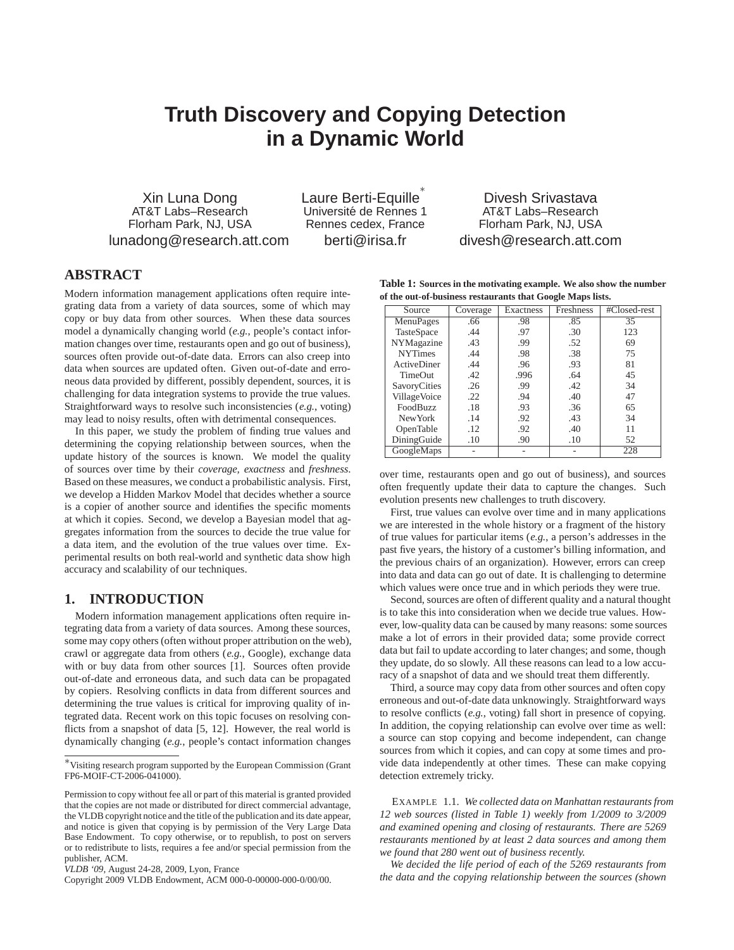# **Truth Discovery and Copying Detection in a Dynamic World**

Xin Luna Dong AT&T Labs–Research Florham Park, NJ, USA lunadong@research.att.com Laure Berti-Equille ∗ Université de Rennes 1 Rennes cedex, France berti@irisa.fr

Divesh Srivastava AT&T Labs–Research Florham Park, NJ, USA divesh@research.att.com

# **ABSTRACT**

Modern information management applications often require integrating data from a variety of data sources, some of which may copy or buy data from other sources. When these data sources model a dynamically changing world (*e.g.*, people's contact information changes over time, restaurants open and go out of business), sources often provide out-of-date data. Errors can also creep into data when sources are updated often. Given out-of-date and erroneous data provided by different, possibly dependent, sources, it is challenging for data integration systems to provide the true values. Straightforward ways to resolve such inconsistencies (*e.g.*, voting) may lead to noisy results, often with detrimental consequences.

In this paper, we study the problem of finding true values and determining the copying relationship between sources, when the update history of the sources is known. We model the quality of sources over time by their *coverage, exactness* and *freshness*. Based on these measures, we conduct a probabilistic analysis. First, we develop a Hidden Markov Model that decides whether a source is a copier of another source and identifies the specific moments at which it copies. Second, we develop a Bayesian model that aggregates information from the sources to decide the true value for a data item, and the evolution of the true values over time. Experimental results on both real-world and synthetic data show high accuracy and scalability of our techniques.

# **1. INTRODUCTION**

Modern information management applications often require integrating data from a variety of data sources. Among these sources, some may copy others (often without proper attribution on the web), crawl or aggregate data from others (*e.g.*, Google), exchange data with or buy data from other sources [1]. Sources often provide out-of-date and erroneous data, and such data can be propagated by copiers. Resolving conflicts in data from different sources and determining the true values is critical for improving quality of integrated data. Recent work on this topic focuses on resolving conflicts from a snapshot of data [5, 12]. However, the real world is dynamically changing (*e.g.*, people's contact information changes

*VLDB '09,* August 24-28, 2009, Lyon, France

**Table 1: Sources in the motivating example. We also show the number of the out-of-business restaurants that Google Maps lists.**

| Source             | Coverage | Exactness | <b>Freshness</b> | #Closed-rest |
|--------------------|----------|-----------|------------------|--------------|
| MenuPages          | .66      | .98       | .85              | 35           |
|                    |          |           |                  |              |
| TasteSpace         | .44      | .97       | .30              | 123          |
| NYMagazine         | .43      | .99       | .52              | 69           |
| <b>NYTimes</b>     | .44      | .98       | .38              | 75           |
| <b>ActiveDiner</b> | .44      | .96       | .93              | 81           |
| TimeOut            | .42      | .996      | .64              | 45           |
| SavoryCities       | .26      | .99       | .42              | 34           |
| Village Voice      | .22      | .94       | .40              | 47           |
| FoodBuzz           | .18      | .93       | .36              | 65           |
| New York           | .14      | .92       | .43              | 34           |
| OpenTable          | .12      | .92       | .40              | 11           |
| DiningGuide        | .10      | .90       | .10              | 52           |
| <b>GoogleMaps</b>  |          |           |                  | 228          |

over time, restaurants open and go out of business), and sources often frequently update their data to capture the changes. Such evolution presents new challenges to truth discovery.

First, true values can evolve over time and in many applications we are interested in the whole history or a fragment of the history of true values for particular items (*e.g.*, a person's addresses in the past five years, the history of a customer's billing information, and the previous chairs of an organization). However, errors can creep into data and data can go out of date. It is challenging to determine which values were once true and in which periods they were true.

Second, sources are often of different quality and a natural thought is to take this into consideration when we decide true values. However, low-quality data can be caused by many reasons: some sources make a lot of errors in their provided data; some provide correct data but fail to update according to later changes; and some, though they update, do so slowly. All these reasons can lead to a low accuracy of a snapshot of data and we should treat them differently.

Third, a source may copy data from other sources and often copy erroneous and out-of-date data unknowingly. Straightforward ways to resolve conflicts (*e.g.*, voting) fall short in presence of copying. In addition, the copying relationship can evolve over time as well: a source can stop copying and become independent, can change sources from which it copies, and can copy at some times and provide data independently at other times. These can make copying detection extremely tricky.

EXAMPLE 1.1. *We collected data on Manhattan restaurants from 12 web sources (listed in Table 1) weekly from 1/2009 to 3/2009 and examined opening and closing of restaurants. There are 5269 restaurants mentioned by at least 2 data sources and among them we found that 280 went out of business recently.*

*We decided the life period of each of the 5269 restaurants from the data and the copying relationship between the sources (shown*

<sup>∗</sup>Visiting research program supported by the European Commission (Grant FP6-MOIF-CT-2006-041000).

Permission to copy without fee all or part of this material is granted provided that the copies are not made or distributed for direct commercial advantage, the VLDB copyright notice and the title of the publication and its date appear, and notice is given that copying is by permission of the Very Large Data Base Endowment. To copy otherwise, or to republish, to post on servers or to redistribute to lists, requires a fee and/or special permission from the publisher, ACM.

Copyright 2009 VLDB Endowment, ACM 000-0-00000-000-0/00/00.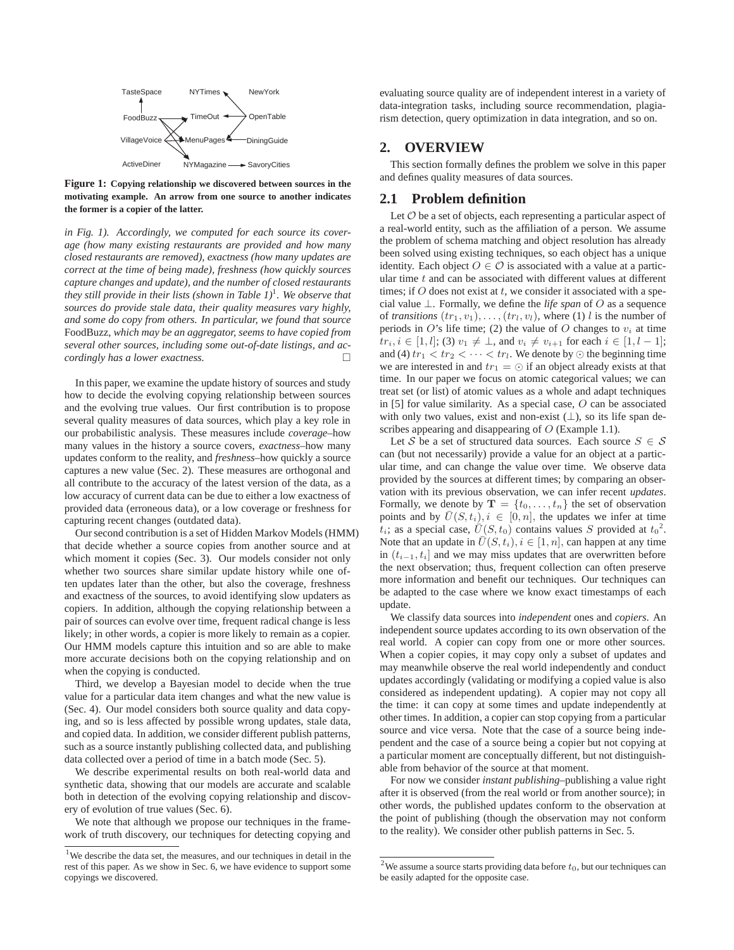

**Figure 1: Copying relationship we discovered between sources in the motivating example. An arrow from one source to another indicates the former is a copier of the latter.**

*in Fig. 1). Accordingly, we computed for each source its coverage (how many existing restaurants are provided and how many closed restaurants are removed), exactness (how many updates are correct at the time of being made), freshness (how quickly sources capture changes and update), and the number of closed restaurants they still provide in their lists (shown in Table 1)*<sup>1</sup> *. We observe that sources do provide stale data, their quality measures vary highly, and some do copy from others. In particular, we found that source* FoodBuzz*, which may be an aggregator, seems to have copied from several other sources, including some out-of-date listings, and accordingly has a lower exactness.*

In this paper, we examine the update history of sources and study how to decide the evolving copying relationship between sources and the evolving true values. Our first contribution is to propose several quality measures of data sources, which play a key role in our probabilistic analysis. These measures include *coverage*–how many values in the history a source covers, *exactness*–how many updates conform to the reality, and *freshness*–how quickly a source captures a new value (Sec. 2). These measures are orthogonal and all contribute to the accuracy of the latest version of the data, as a low accuracy of current data can be due to either a low exactness of provided data (erroneous data), or a low coverage or freshness for capturing recent changes (outdated data).

Our second contribution is a set of Hidden Markov Models (HMM) that decide whether a source copies from another source and at which moment it copies (Sec. 3). Our models consider not only whether two sources share similar update history while one often updates later than the other, but also the coverage, freshness and exactness of the sources, to avoid identifying slow updaters as copiers. In addition, although the copying relationship between a pair of sources can evolve over time, frequent radical change is less likely; in other words, a copier is more likely to remain as a copier. Our HMM models capture this intuition and so are able to make more accurate decisions both on the copying relationship and on when the copying is conducted.

Third, we develop a Bayesian model to decide when the true value for a particular data item changes and what the new value is (Sec. 4). Our model considers both source quality and data copying, and so is less affected by possible wrong updates, stale data, and copied data. In addition, we consider different publish patterns, such as a source instantly publishing collected data, and publishing data collected over a period of time in a batch mode (Sec. 5).

We describe experimental results on both real-world data and synthetic data, showing that our models are accurate and scalable both in detection of the evolving copying relationship and discovery of evolution of true values (Sec. 6).

We note that although we propose our techniques in the framework of truth discovery, our techniques for detecting copying and evaluating source quality are of independent interest in a variety of data-integration tasks, including source recommendation, plagiarism detection, query optimization in data integration, and so on.

# **2. OVERVIEW**

This section formally defines the problem we solve in this paper and defines quality measures of data sources.

# **2.1 Problem definition**

Let  $\mathcal O$  be a set of objects, each representing a particular aspect of a real-world entity, such as the affiliation of a person. We assume the problem of schema matching and object resolution has already been solved using existing techniques, so each object has a unique identity. Each object  $O \in \mathcal{O}$  is associated with a value at a particular time  $t$  and can be associated with different values at different times; if  $O$  does not exist at  $t$ , we consider it associated with a special value ⊥. Formally, we define the *life span* of O as a sequence of *transitions*  $(tr_1, v_1), \ldots, (tr_l, v_l)$ , where (1) l is the number of periods in O's life time; (2) the value of O changes to  $v_i$  at time  $tr_i, i \in [1, l]; (3)$   $v_1 \neq \bot$ , and  $v_i \neq v_{i+1}$  for each  $i \in [1, l-1];$ and (4)  $tr_1 < tr_2 < \cdots < tr_l$ . We denote by ⊙ the beginning time we are interested in and  $tr_1 = \odot$  if an object already exists at that time. In our paper we focus on atomic categorical values; we can treat set (or list) of atomic values as a whole and adapt techniques in [5] for value similarity. As a special case,  $O$  can be associated with only two values, exist and non-exist  $(\perp)$ , so its life span describes appearing and disappearing of O (Example 1.1).

Let S be a set of structured data sources. Each source  $S \in \mathcal{S}$ can (but not necessarily) provide a value for an object at a particular time, and can change the value over time. We observe data provided by the sources at different times; by comparing an observation with its previous observation, we can infer recent *updates*. Formally, we denote by  $\mathbf{T} = \{t_0, \ldots, t_n\}$  the set of observation points and by  $\overline{U}(S, t_i), i \in [0, n]$ , the updates we infer at time  $\tilde{t}_i$ ; as a special case,  $\overline{U}(S, t_0)$  contains values S provided at  $t_0^2$ . Note that an update in  $\overline{U}(S, t_i), i \in [1, n]$ , can happen at any time in  $(t_{i-1}, t_i]$  and we may miss updates that are overwritten before the next observation; thus, frequent collection can often preserve more information and benefit our techniques. Our techniques can be adapted to the case where we know exact timestamps of each update.

We classify data sources into *independent* ones and *copiers*. An independent source updates according to its own observation of the real world. A copier can copy from one or more other sources. When a copier copies, it may copy only a subset of updates and may meanwhile observe the real world independently and conduct updates accordingly (validating or modifying a copied value is also considered as independent updating). A copier may not copy all the time: it can copy at some times and update independently at other times. In addition, a copier can stop copying from a particular source and vice versa. Note that the case of a source being independent and the case of a source being a copier but not copying at a particular moment are conceptually different, but not distinguishable from behavior of the source at that moment.

For now we consider *instant publishing*–publishing a value right after it is observed (from the real world or from another source); in other words, the published updates conform to the observation at the point of publishing (though the observation may not conform to the reality). We consider other publish patterns in Sec. 5.

 $1$ We describe the data set, the measures, and our techniques in detail in the rest of this paper. As we show in Sec. 6, we have evidence to support some copyings we discovered.

<sup>&</sup>lt;sup>2</sup>We assume a source starts providing data before  $t_0$ , but our techniques can be easily adapted for the opposite case.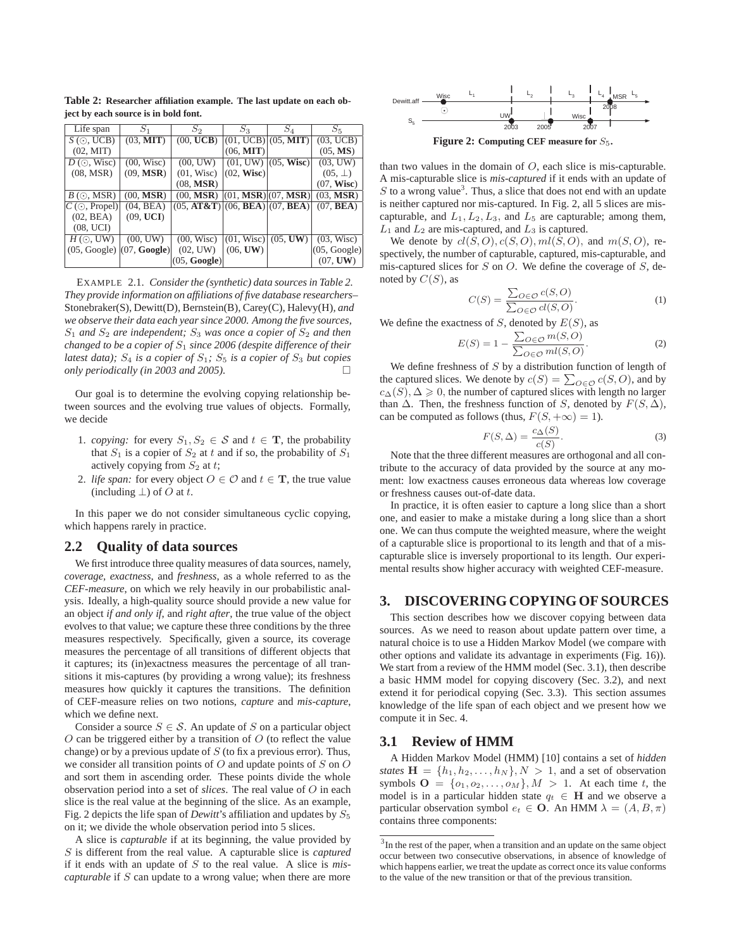**Table 2: Researcher affiliation example. The last update on each object by each source is in bold font.**

| Life span                          | $\overline{S}_1$   | $S_2$                        | $S_3$                                 | $S_4$                          | $S_{5}$             |
|------------------------------------|--------------------|------------------------------|---------------------------------------|--------------------------------|---------------------|
| $S(\odot,UCB)$                     | (03, MIT)          | $(00, \text{UCB})$           |                                       | $(01, UCB)$ $(05, MIT)$        | (03, UCB)           |
| (02, MIT)                          |                    |                              | (06, MIT)                             |                                | (05, MS)            |
| $D\left(\odot, \text{Wisc}\right)$ | (00, Wisc)         | (00, UW)                     | $(01, \overline{UW})$                 | $(05, \overline{\text{Wisc}})$ | (03, UW)            |
| (08, MSR)                          | $(09, \text{MSR})$ | (01, Wisc)                   | (02, <b>Wisc</b> )                    |                                | $(05, \perp)$       |
|                                    |                    | $(08, \text{MSR})$           |                                       |                                | (07, <b>Wisc</b> )  |
| $B(\odot, MSR)$                    | $(00, \text{MSR})$ | $(00, \text{MSR})$           | $(01, \text{MSR})$ $(07, \text{MSR})$ |                                | $(03, \text{MSR})$  |
| $C$ ( $\odot$ , Propel)            | (04, BEA)          | (05, AT&T)(06, BEA)(07, BEA) |                                       |                                | $(07, \text{BEA})$  |
| (02, BEA)                          | (09, UCI)          |                              |                                       |                                |                     |
| (08, UCI)                          |                    |                              |                                       |                                |                     |
| $H(\odot, \text{UW})$              | (00, UW)           | (00, Wisc)                   | $(01, Wisc)$ (05, UW)                 |                                | (03, Wisc)          |
| $(05, Google)$ $(07, Google)$      |                    | (02, UW)                     | $(06, \mathbf{UW})$                   |                                | (05, Google)        |
|                                    |                    | (05, Google)                 |                                       |                                | $(07, \mathbf{UW})$ |

EXAMPLE 2.1. *Consider the (synthetic) data sources in Table 2. They provide information on affiliations of five database researchers–* Stonebraker(S), Dewitt(D), Bernstein(B), Carey(C), Halevy(H)*, and we observe their data each year since 2000. Among the five sources,*  $S_1$  *and*  $S_2$  *are independent;*  $S_3$  *was once a copier of*  $S_2$  *and then changed to be a copier of* S<sup>1</sup> *since 2006 (despite difference of their latest data);*  $S_4$  *is a copier of*  $S_1$ *;*  $S_5$  *is a copier of*  $S_3$  *but copies only periodically (in 2003 and 2005).*

Our goal is to determine the evolving copying relationship between sources and the evolving true values of objects. Formally, we decide

- 1. *copying:* for every  $S_1, S_2 \in S$  and  $t \in T$ , the probability that  $S_1$  is a copier of  $S_2$  at t and if so, the probability of  $S_1$ actively copying from  $S_2$  at t;
- 2. *life span:* for every object  $O \in \mathcal{O}$  and  $t \in \mathbf{T}$ , the true value (including  $\perp$ ) of O at t.

In this paper we do not consider simultaneous cyclic copying, which happens rarely in practice.

### **2.2 Quality of data sources**

We first introduce three quality measures of data sources, namely, *coverage, exactness*, and *freshness*, as a whole referred to as the *CEF-measure*, on which we rely heavily in our probabilistic analysis. Ideally, a high-quality source should provide a new value for an object *if and only if*, and *right after*, the true value of the object evolves to that value; we capture these three conditions by the three measures respectively. Specifically, given a source, its coverage measures the percentage of all transitions of different objects that it captures; its (in)exactness measures the percentage of all transitions it mis-captures (by providing a wrong value); its freshness measures how quickly it captures the transitions. The definition of CEF-measure relies on two notions, *capture* and *mis-capture*, which we define next.

Consider a source  $S \in \mathcal{S}$ . An update of S on a particular object  $O$  can be triggered either by a transition of  $O$  (to reflect the value change) or by a previous update of  $S$  (to fix a previous error). Thus, we consider all transition points of  $O$  and update points of  $S$  on  $O$ and sort them in ascending order. These points divide the whole observation period into a set of *slices*. The real value of O in each slice is the real value at the beginning of the slice. As an example, Fig. 2 depicts the life span of *Dewitt's* affiliation and updates by  $S_5$ on it; we divide the whole observation period into 5 slices.

A slice is *capturable* if at its beginning, the value provided by S is different from the real value. A capturable slice is *captured* if it ends with an update of S to the real value. A slice is *miscapturable* if S can update to a wrong value; when there are more



**Figure 2:** Computing CEF measure for  $S_5$ .

than two values in the domain of  $O$ , each slice is mis-capturable. A mis-capturable slice is *mis-captured* if it ends with an update of  $S$  to a wrong value<sup>3</sup>. Thus, a slice that does not end with an update is neither captured nor mis-captured. In Fig. 2, all 5 slices are miscapturable, and  $L_1, L_2, L_3$ , and  $L_5$  are capturable; among them,  $L_1$  and  $L_2$  are mis-captured, and  $L_3$  is captured.

We denote by  $cl(S, O), c(S, O), ml(S, O)$ , and  $m(S, O)$ , respectively, the number of capturable, captured, mis-capturable, and mis-captured slices for  $S$  on  $O$ . We define the coverage of  $S$ , denoted by  $C(S)$ , as

$$
C(S) = \frac{\sum_{O \in \mathcal{O}} c(S, O)}{\sum_{O \in \mathcal{O}} cl(S, O)}.
$$
 (1)

We define the exactness of  $S$ , denoted by  $E(S)$ , as

$$
E(S) = 1 - \frac{\sum_{O \in \mathcal{O}} m(S, O)}{\sum_{O \in \mathcal{O}} m l(S, O)}.
$$
 (2)

We define freshness of  $S$  by a distribution function of length of the captured slices. We denote by  $c(S) = \sum_{O \in \mathcal{O}} c(S, O)$ , and by  $c_{\Delta}(S), \Delta \geq 0$ , the number of captured slices with length no larger than  $\Delta$ . Then, the freshness function of S, denoted by  $F(S, \Delta)$ , can be computed as follows (thus,  $F(S, +\infty) = 1$ ).

$$
F(S, \Delta) = \frac{c_{\Delta}(S)}{c(S)}.
$$
 (3)

Note that the three different measures are orthogonal and all contribute to the accuracy of data provided by the source at any moment: low exactness causes erroneous data whereas low coverage or freshness causes out-of-date data.

In practice, it is often easier to capture a long slice than a short one, and easier to make a mistake during a long slice than a short one. We can thus compute the weighted measure, where the weight of a capturable slice is proportional to its length and that of a miscapturable slice is inversely proportional to its length. Our experimental results show higher accuracy with weighted CEF-measure.

# **3. DISCOVERING COPYING OF SOURCES**

This section describes how we discover copying between data sources. As we need to reason about update pattern over time, a natural choice is to use a Hidden Markov Model (we compare with other options and validate its advantage in experiments (Fig. 16)). We start from a review of the HMM model (Sec. 3.1), then describe a basic HMM model for copying discovery (Sec. 3.2), and next extend it for periodical copying (Sec. 3.3). This section assumes knowledge of the life span of each object and we present how we compute it in Sec. 4.

# **3.1 Review of HMM**

A Hidden Markov Model (HMM) [10] contains a set of *hidden states*  $\mathbf{H} = \{h_1, h_2, \ldots, h_N\}, N > 1$ , and a set of observation symbols  $O = \{o_1, o_2, \ldots, o_M\}, M > 1$ . At each time t, the model is in a particular hidden state  $q_t \in H$  and we observe a particular observation symbol  $e_t \in \mathbf{O}$ . An HMM  $\lambda = (A, B, \pi)$ contains three components:

 $3$ In the rest of the paper, when a transition and an update on the same object occur between two consecutive observations, in absence of knowledge of which happens earlier, we treat the update as correct once its value conforms to the value of the new transition or that of the previous transition.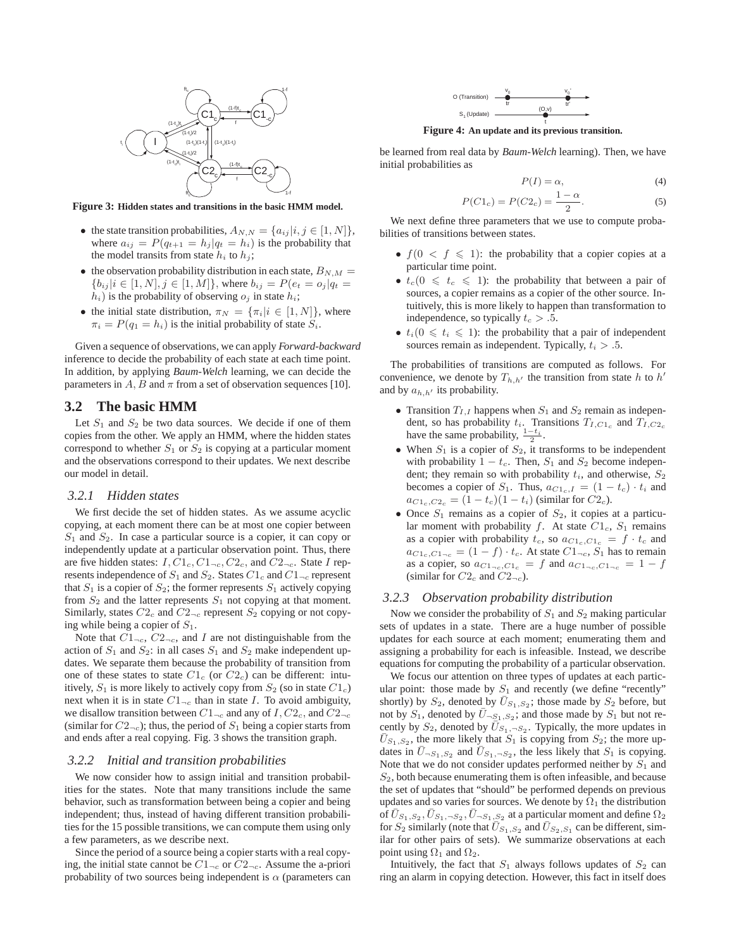

**Figure 3: Hidden states and transitions in the basic HMM model.**

- the state transition probabilities,  $A_{N,N} = \{a_{ij} | i, j \in [1, N]\},$ where  $a_{ij} = P(q_{t+1} = h_j | q_t = h_i)$  is the probability that the model transits from state  $h_i$  to  $h_j$ ;
- the observation probability distribution in each state,  $B_{N,M} =$  ${b_{ij}} | i \in [1, N], j \in [1, M]$ , where  $b_{ij} = P(e_t = o_j | q_t =$  $h_i$ ) is the probability of observing  $o_i$  in state  $h_i$ ;
- the initial state distribution,  $\pi_N = {\pi_i | i \in [1, N]}$ , where  $\pi_i = P(q_1 = h_i)$  is the initial probability of state  $S_i$ .

Given a sequence of observations, we can apply *Forward-backward* inference to decide the probability of each state at each time point. In addition, by applying *Baum-Welch* learning, we can decide the parameters in A, B and  $\pi$  from a set of observation sequences [10].

#### **3.2 The basic HMM**

Let  $S_1$  and  $S_2$  be two data sources. We decide if one of them copies from the other. We apply an HMM, where the hidden states correspond to whether  $S_1$  or  $S_2$  is copying at a particular moment and the observations correspond to their updates. We next describe our model in detail.

#### *3.2.1 Hidden states*

We first decide the set of hidden states. As we assume acyclic copying, at each moment there can be at most one copier between  $S_1$  and  $S_2$ . In case a particular source is a copier, it can copy or independently update at a particular observation point. Thus, there are five hidden states:  $I, C1_c, C1_{\text{nc}}, C2_c,$  and  $C2_{\text{nc}}$ . State I represents independence of  $S_1$  and  $S_2$ . States  $C1_c$  and  $C1_{\neg c}$  represent that  $S_1$  is a copier of  $S_2$ ; the former represents  $S_1$  actively copying from  $S_2$  and the latter represents  $S_1$  not copying at that moment. Similarly, states  $C2_c$  and  $C2_{\neg c}$  represent  $S_2$  copying or not copying while being a copier of  $S_1$ .

Note that  $C1_{\neg c}$ ,  $C2_{\neg c}$ , and I are not distinguishable from the action of  $S_1$  and  $S_2$ : in all cases  $S_1$  and  $S_2$  make independent updates. We separate them because the probability of transition from one of these states to state  $C1_c$  (or  $C2_c$ ) can be different: intuitively,  $S_1$  is more likely to actively copy from  $S_2$  (so in state  $C1_c$ ) next when it is in state  $C1_{\neg c}$  than in state I. To avoid ambiguity, we disallow transition between  $C1_{\neg c}$  and any of I,  $C2_c$ , and  $C2_{\neg c}$ (similar for  $C2_{\neg c}$ ); thus, the period of  $S_1$  being a copier starts from and ends after a real copying. Fig. 3 shows the transition graph.

#### *3.2.2 Initial and transition probabilities*

We now consider how to assign initial and transition probabilities for the states. Note that many transitions include the same behavior, such as transformation between being a copier and being independent; thus, instead of having different transition probabilities for the 15 possible transitions, we can compute them using only a few parameters, as we describe next.

Since the period of a source being a copier starts with a real copying, the initial state cannot be  $C1_{\text{nc}}$  or  $C2_{\text{nc}}$ . Assume the a-priori probability of two sources being independent is  $\alpha$  (parameters can



**Figure 4: An update and its previous transition.**

be learned from real data by *Baum-Welch* learning). Then, we have initial probabilities as

$$
P(I) = \alpha,\tag{4}
$$

$$
P(C1_c) = P(C2_c) = \frac{1 - \alpha}{2}.
$$
 (5)

We next define three parameters that we use to compute probabilities of transitions between states.

- $f(0 \lt f \leq 1)$ : the probability that a copier copies at a particular time point.
- $t_c(0 \leq t_c \leq 1)$ : the probability that between a pair of sources, a copier remains as a copier of the other source. Intuitively, this is more likely to happen than transformation to independence, so typically  $t_c > .5$ .
- $t_i(0 \leq t_i \leq 1)$ : the probability that a pair of independent sources remain as independent. Typically,  $t_i > .5$ .

The probabilities of transitions are computed as follows. For convenience, we denote by  $T_{h,h'}$  the transition from state h to h' and by  $a_{h,h'}$  its probability.

- Transition  $T_{I,I}$  happens when  $S_1$  and  $S_2$  remain as independent, so has probability  $t_i$ . Transitions  $T_{I, C1_c}$  and  $T_{I, C2_c}$ have the same probability,  $\frac{1-t_i}{2}$ .
- When  $S_1$  is a copier of  $S_2$ , it transforms to be independent with probability  $1 - t_c$ . Then,  $S_1$  and  $S_2$  become independent; they remain so with probability  $t_i$ , and otherwise,  $S_2$ becomes a copier of  $S_1$ . Thus,  $a_{C1_c,I} = (1 - t_c) \cdot t_i$  and  $a_{C1_c,C2_c} = (1 - t_c)(1 - t_i)$  (similar for  $C2_c$ ).
- Once  $S_1$  remains as a copier of  $S_2$ , it copies at a particular moment with probability f. At state  $C1_c$ ,  $S_1$  remains as a copier with probability  $t_c$ , so  $a_{C1_c,C1_c} = f \cdot t_c$  and  $ac_{1_c, C_{1_c}} = (1 - f) \cdot t_c$ . At state  $C_{1_c, C_1}$  has to remain as a copier, so  $a_{C1_{\neg c},C1_c} = f$  and  $a_{C1_{\neg c},C1_{\neg c}} = 1 - f$ (similar for  $C2_c$  and  $C2_{\neg c}$ ).

#### *3.2.3 Observation probability distribution*

Now we consider the probability of  $S_1$  and  $S_2$  making particular sets of updates in a state. There are a huge number of possible updates for each source at each moment; enumerating them and assigning a probability for each is infeasible. Instead, we describe equations for computing the probability of a particular observation.

We focus our attention on three types of updates at each particular point: those made by  $S_1$  and recently (we define "recently" shortly) by  $S_2$ , denoted by  $\overline{U}_{S_1,S_2}$ ; those made by  $S_2$  before, but not by  $S_1$ , denoted by  $\overline{U}_{\neg S_1, S_2}$ ; and those made by  $S_1$  but not recently by  $S_2$ , denoted by  $\overline{U}_{S_1, \neg S_2}$ . Typically, the more updates in  $\overline{U}_{S_1,S_2}$ , the more likely that  $S_1$  is copying from  $S_2$ ; the more updates in  $\bar{U}_{\neg S_1, S_2}$  and  $\bar{U}_{S_1, \neg S_2}$ , the less likely that  $S_1$  is copying. Note that we do not consider updates performed neither by  $S_1$  and  $S<sub>2</sub>$ , both because enumerating them is often infeasible, and because the set of updates that "should" be performed depends on previous updates and so varies for sources. We denote by  $\Omega_1$  the distribution of  $\overline{U}_{S_1,S_2}, \overline{U}_{S_1,\neg S_2}, \overline{U}_{\neg S_1,S_2}$  at a particular moment and define  $\Omega_2$ for  $S_2$  similarly (note that  $\overline{U}_{S_1,S_2}$  and  $\overline{U}_{S_2,S_1}$  can be different, similar for other pairs of sets). We summarize observations at each point using  $\Omega_1$  and  $\Omega_2$ .

Intuitively, the fact that  $S_1$  always follows updates of  $S_2$  can ring an alarm in copying detection. However, this fact in itself does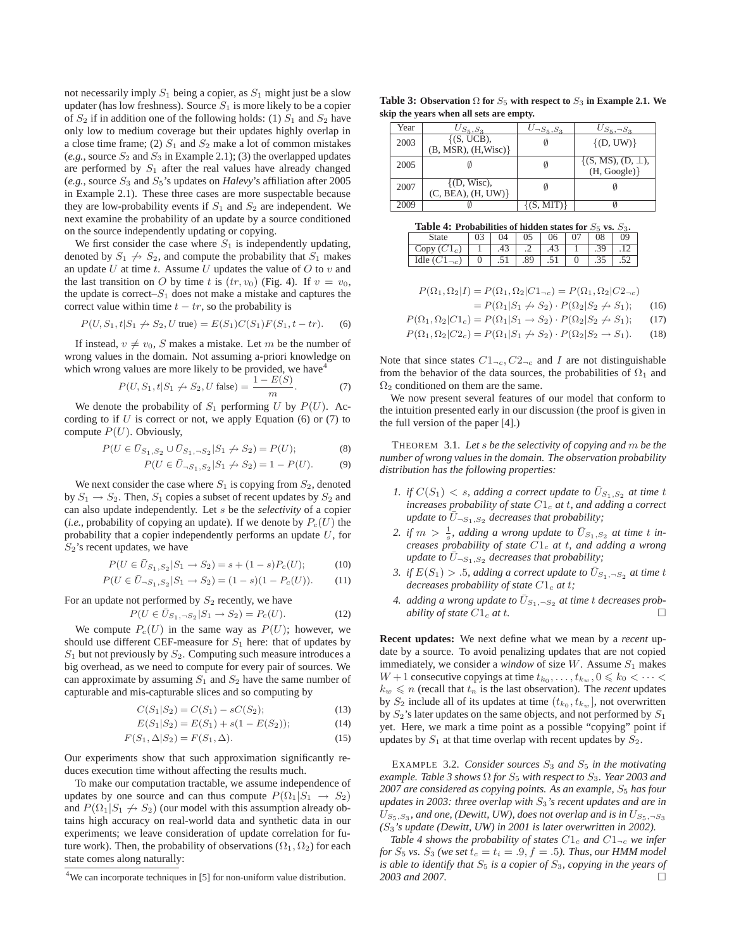not necessarily imply  $S_1$  being a copier, as  $S_1$  might just be a slow updater (has low freshness). Source  $S_1$  is more likely to be a copier of  $S_2$  if in addition one of the following holds: (1)  $S_1$  and  $S_2$  have only low to medium coverage but their updates highly overlap in a close time frame; (2)  $S_1$  and  $S_2$  make a lot of common mistakes (*e.g.*, source  $S_2$  and  $S_3$  in Example 2.1); (3) the overlapped updates are performed by  $S_1$  after the real values have already changed (*e.g.*, source S<sup>3</sup> and S5's updates on *Halevy*'s affiliation after 2005 in Example 2.1). These three cases are more suspectable because they are low-probability events if  $S_1$  and  $S_2$  are independent. We next examine the probability of an update by a source conditioned on the source independently updating or copying.

We first consider the case where  $S_1$  is independently updating, denoted by  $S_1 \nightharpoonup S_2$ , and compute the probability that  $S_1$  makes an update  $U$  at time  $t$ . Assume  $U$  updates the value of  $O$  to  $v$  and the last transition on O by time t is  $(tr, v_0)$  (Fig. 4). If  $v = v_0$ , the update is correct– $S_1$  does not make a mistake and captures the correct value within time  $t - tr$ , so the probability is

$$
P(U, S_1, t | S_1 \nrightarrow S_2, U \text{ true}) = E(S_1)C(S_1)F(S_1, t - tr). \tag{6}
$$

If instead,  $v \neq v_0$ , S makes a mistake. Let m be the number of wrong values in the domain. Not assuming a-priori knowledge on which wrong values are more likely to be provided, we have  $4$ 

$$
P(U, S_1, t | S_1 \nrightarrow S_2, U \text{ false}) = \frac{1 - E(S)}{m}.
$$
 (7)

We denote the probability of  $S_1$  performing U by  $P(U)$ . According to if  $U$  is correct or not, we apply Equation (6) or (7) to compute  $P(U)$ . Obviously,

$$
P(U \in \bar{U}_{S_1, S_2} \cup \bar{U}_{S_1, \neg S_2} | S_1 \not\to S_2) = P(U); \tag{8}
$$

$$
P(U \in \bar{U}_{\neg S_1, S_2} | S_1 \nrightarrow S_2) = 1 - P(U). \tag{9}
$$

We next consider the case where  $S_1$  is copying from  $S_2$ , denoted by  $S_1 \rightarrow S_2$ . Then,  $S_1$  copies a subset of recent updates by  $S_2$  and can also update independently. Let s be the *selectivity* of a copier (*i.e.*, probability of copying an update). If we denote by  $P_c(U)$  the probability that a copier independently performs an update  $U$ , for  $S_2$ 's recent updates, we have

$$
P(U \in \bar{U}_{S_1, S_2} | S_1 \to S_2) = s + (1 - s)P_c(U); \tag{10}
$$

$$
P(U \in \bar{U}_{\neg S_1, S_2} | S_1 \to S_2) = (1 - s)(1 - P_c(U)). \tag{11}
$$

For an update not performed by  $S_2$  recently, we have

$$
P(U \in \bar{U}_{S_1, \neg S_2} | S_1 \to S_2) = P_c(U). \tag{12}
$$

We compute  $P_c(U)$  in the same way as  $P(U)$ ; however, we should use different CEF-measure for  $S_1$  here: that of updates by  $S_1$  but not previously by  $S_2$ . Computing such measure introduces a big overhead, as we need to compute for every pair of sources. We can approximate by assuming  $S_1$  and  $S_2$  have the same number of capturable and mis-capturable slices and so computing by

$$
C(S_1|S_2) = C(S_1) - sC(S_2); \t(13)
$$

$$
E(S_1|S_2) = E(S_1) + s(1 - E(S_2));\tag{14}
$$

$$
F(S_1, \Delta | S_2) = F(S_1, \Delta). \tag{15}
$$

Our experiments show that such approximation significantly reduces execution time without affecting the results much.

To make our computation tractable, we assume independence of updates by one source and can thus compute  $P(\Omega_1|S_1 \to S_2)$ and  $P(\Omega_1|S_1 \nrightarrow S_2)$  (our model with this assumption already obtains high accuracy on real-world data and synthetic data in our experiments; we leave consideration of update correlation for future work). Then, the probability of observations  $(\Omega_1, \Omega_2)$  for each state comes along naturally:

| Table 3: Observation $\Omega$ for $S_5$ with respect to $S_3$ in Example 2.1. We |  |
|----------------------------------------------------------------------------------|--|
| skip the years when all sets are empty.                                          |  |

| Year | $U_{S_5,S_3}$                         | $U_{\neg S_5, S_3}$ | $U_{S_5, \neg S_3}$                         |
|------|---------------------------------------|---------------------|---------------------------------------------|
| 2003 | $\{(S,UCB),\}$<br>(B, MSR), (H, Wisc) |                     | $\{(\mathbf{D}, \mathbf{UW})\}$             |
| 2005 |                                       |                     | $\{(S, MS), (D, \perp),$<br>$(H, Google)$ } |
| 2007 | $\{$ (D, Wisc),<br>(C, BEA), (H, UW)  |                     |                                             |
| 2009 |                                       | (S, MIT)            |                                             |

| Table 4: Probabilities of hidden states for $S_5$ vs. $S_3$ . |                 |     |     |     |      |     |    |  |  |
|---------------------------------------------------------------|-----------------|-----|-----|-----|------|-----|----|--|--|
| State                                                         | 03 <sup>2</sup> | 04  | 0.5 | 06. | (17) | 08  | 09 |  |  |
| Copy (C1 <sub>c</sub> )                                       |                 |     |     |     |      | .39 |    |  |  |
| Idle $(C1_{\neg c})$                                          | $\theta$        | .51 | .89 | .51 |      |     |    |  |  |

$$
P(\Omega_1, \Omega_2 | I) = P(\Omega_1, \Omega_2 | C1_{\neg c}) = P(\Omega_1, \Omega_2 | C2_{\neg c})
$$
  
=  $P(\Omega_1 | S_1 \nrightarrow S_2) \cdot P(\Omega_2 | S_2 \nrightarrow S_1);$  (16)

$$
P(\Omega_1, \Omega_2 | C1_c) = P(\Omega_1 | S_1 \to S_2) \cdot P(\Omega_2 | S_2 \to S_1); \tag{17}
$$
  

$$
P(\Omega_1, \Omega_2 | C2_c) = P(\Omega_1 | S_1 \to S_2) \cdot P(\Omega_2 | S_2 \to S_1). \tag{18}
$$

Note that since states  $C1_{\neg c}$ ,  $C2_{\neg c}$  and I are not distinguishable from the behavior of the data sources, the probabilities of  $\Omega_1$  and  $\Omega_2$  conditioned on them are the same.

We now present several features of our model that conform to the intuition presented early in our discussion (the proof is given in the full version of the paper [4].)

THEOREM 3.1. *Let* s *be the selectivity of copying and* m *be the number of wrong values in the domain. The observation probability distribution has the following properties:*

- *1. if*  $C(S_1) < s$ , adding a correct update to  $U_{S_1,S_2}$  at time t *increases probability of state*  $C1_c$  *at t, and adding a correct update to*  $\bar{U}_{\neg S_1, S_2}$  *decreases that probability;*
- 2. if  $m > \frac{1}{s}$ , adding a wrong update to  $\overline{U}_{S_1,S_2}$  at time t in*creases probability of state*  $C1_c$  *at t, and adding a wrong update to*  $U_{\neg S_1, S_2}$  *decreases that probability;*
- *3. if*  $E(S_1) > .5$ , adding a correct update to  $\overline{U}_{S_1, \neg S_2}$  at time t *decreases probability of state*  $C1_c$  *at t*;
- 4. adding a wrong update to  $\overline{U}_{S_1,\neg S_2}$  at time t decreases prob*ability of state*  $C1_c$  *at t*.

**Recent updates:** We next define what we mean by a *recent* update by a source. To avoid penalizing updates that are not copied immediately, we consider a *window* of size  $W$ . Assume  $S_1$  makes  $W + 1$  consecutive copyings at time  $t_{k_0}, \ldots, t_{k_w}, 0 \leq k_0 < \cdots <$  $k_w \leq n$  (recall that  $t_n$  is the last observation). The *recent* updates by  $S_2$  include all of its updates at time  $(t_{k_0}, t_{k_w})$ , not overwritten by  $S_2$ 's later updates on the same objects, and not performed by  $S_1$ yet. Here, we mark a time point as a possible "copying" point if updates by  $S_1$  at that time overlap with recent updates by  $S_2$ .

EXAMPLE 3.2. *Consider sources* S<sup>3</sup> *and* S<sup>5</sup> *in the motivating example. Table 3 shows* Ω *for* S<sup>5</sup> *with respect to* S3*. Year 2003 and 2007 are considered as copying points. As an example,* S<sup>5</sup> *has four updates in 2003: three overlap with*  $S_3$ 's recent updates and are in  $U_{S_5,S_3}$ , and one, (Dewitt, UW), does not overlap and is in  $U_{S_5,\neg S_3}$ *(*S3*'s update (Dewitt, UW) in 2001 is later overwritten in 2002).*

*Table 4 shows the probability of states*  $C1_c$  *and*  $C1_{\text{nc}}$  *we infer for*  $S_5$  *vs.*  $S_3$  *(we set*  $t_c = t_i = .9, f = .5$ *). Thus, our HMM model is able to identify that*  $S_5$  *is a copier of*  $S_3$ *, copying in the years of 2003 and 2007.*

<sup>&</sup>lt;sup>4</sup>We can incorporate techniques in [5] for non-uniform value distribution.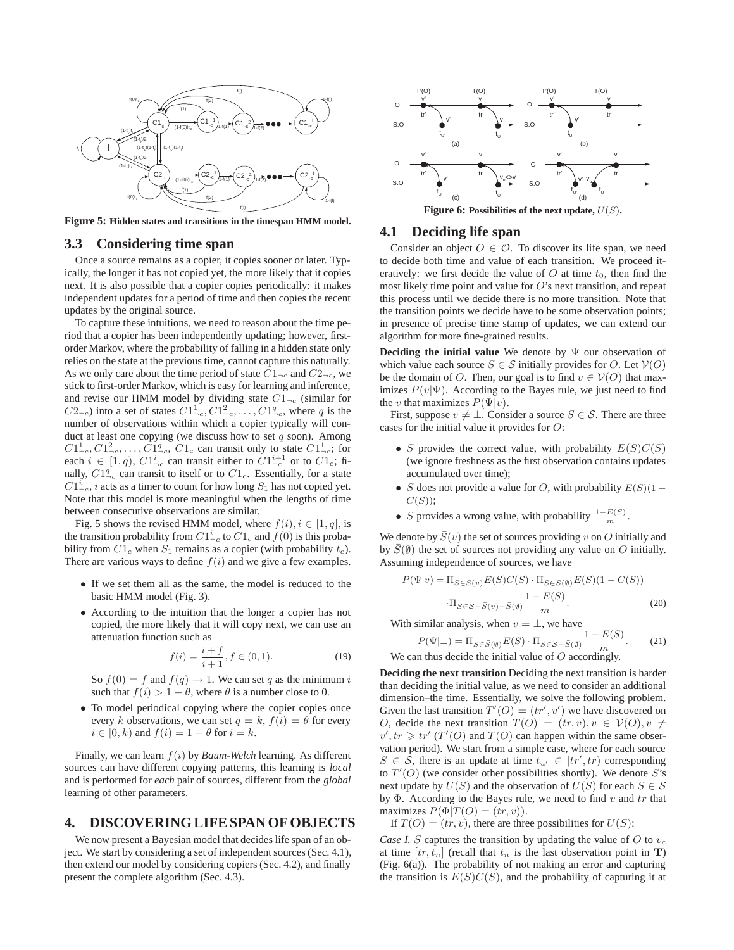

**Figure 5: Hidden states and transitions in the timespan HMM model.**

# **3.3 Considering time span**

Once a source remains as a copier, it copies sooner or later. Typically, the longer it has not copied yet, the more likely that it copies next. It is also possible that a copier copies periodically: it makes independent updates for a period of time and then copies the recent updates by the original source.

To capture these intuitions, we need to reason about the time period that a copier has been independently updating; however, firstorder Markov, where the probability of falling in a hidden state only relies on the state at the previous time, cannot capture this naturally. As we only care about the time period of state  $C1_{\neg c}$  and  $C2_{\neg c}$ , we stick to first-order Markov, which is easy for learning and inference, and revise our HMM model by dividing state  $C1_{\neg c}$  (similar for  $C2_{\neg c}$ ) into a set of states  $C1_{\neg c}^1, C1_{\neg c}^2, \ldots, C1_{\neg c}^q$ , where q is the number of observations within which a copier typically will conduct at least one copying (we discuss how to set  $q$  soon). Among  $C1^1_{\neg c}, C1^2_{\neg c}, \ldots, C1^q_{\neg c}, C1_c$  can transit only to state  $C1^1_{\neg c}$ ; for each  $i \in [1, q)$ ,  $C1_{\neg c}^{i}$  can transit either to  $C1_{\neg c}^{i+1}$  or to  $C1_{c}$ ; finally,  $C1\frac{q}{q_c}$  can transit to itself or to  $C1_c$ . Essentially, for a state  $C1^i$  $\alpha_c$ , *i* acts as a timer to count for how long  $S_1$  has not copied yet. Note that this model is more meaningful when the lengths of time between consecutive observations are similar.

Fig. 5 shows the revised HMM model, where  $f(i)$ ,  $i \in [1, q]$ , is the transition probability from  $C1_{\text{nc}}^i$  to  $C1_c$  and  $f(0)$  is this probability from  $C1_c$  when  $S_1$  remains as a copier (with probability  $t_c$ ). There are various ways to define  $f(i)$  and we give a few examples.

- If we set them all as the same, the model is reduced to the basic HMM model (Fig. 3).
- According to the intuition that the longer a copier has not copied, the more likely that it will copy next, we can use an attenuation function such as

$$
f(i) = \frac{i+f}{i+1}, f \in (0,1).
$$
 (19)

So  $f(0) = f$  and  $f(q) \rightarrow 1$ . We can set q as the minimum i such that  $f(i) > 1 - \theta$ , where  $\theta$  is a number close to 0.

• To model periodical copying where the copier copies once every k observations, we can set  $q = k$ ,  $f(i) = \theta$  for every  $i \in [0, k)$  and  $f(i) = 1 - \theta$  for  $i = k$ .

Finally, we can learn f(i) by *Baum-Welch* learning. As different sources can have different copying patterns, this learning is *local* and is performed for *each* pair of sources, different from the *global* learning of other parameters.

# **4. DISCOVERING LIFE SPAN OF OBJECTS**

We now present a Bayesian model that decides life span of an object. We start by considering a set of independent sources (Sec. 4.1), then extend our model by considering copiers (Sec. 4.2), and finally present the complete algorithm (Sec. 4.3).



**Figure 6: Possibilities of the next update,** U(S)**.**

# **4.1 Deciding life span**

Consider an object  $O \in \mathcal{O}$ . To discover its life span, we need to decide both time and value of each transition. We proceed iteratively: we first decide the value of O at time  $t_0$ , then find the most likely time point and value for O's next transition, and repeat this process until we decide there is no more transition. Note that the transition points we decide have to be some observation points; in presence of precise time stamp of updates, we can extend our algorithm for more fine-grained results.

**Deciding the initial value** We denote by Ψ our observation of which value each source  $S \in \mathcal{S}$  initially provides for O. Let  $V(O)$ be the domain of O. Then, our goal is to find  $v \in V(O)$  that maximizes  $P(v|\Psi)$ . According to the Bayes rule, we just need to find the v that maximizes  $P(\Psi|v)$ .

First, suppose  $v \neq \bot$ . Consider a source  $S \in \mathcal{S}$ . There are three cases for the initial value it provides for O:

- S provides the correct value, with probability  $E(S)C(S)$ (we ignore freshness as the first observation contains updates accumulated over time);
- S does not provide a value for O, with probability  $E(S)(1 C(S)$ ;
- S provides a wrong value, with probability  $\frac{1-E(S)}{m}$ .

We denote by  $\overline{S}(v)$  the set of sources providing v on O initially and by  $\overline{S}(\emptyset)$  the set of sources not providing any value on O initially. Assuming independence of sources, we have

$$
P(\Psi|v) = \Pi_{S \in \bar{S}(v)} E(S)C(S) \cdot \Pi_{S \in \bar{S}(\emptyset)} E(S)(1 - C(S))
$$

$$
\cdot \Pi_{S \in \mathcal{S} - \bar{S}(v) - \bar{S}(\emptyset)} \frac{1 - E(S)}{m}.
$$
(20)

With similar analysis, when  $v = \perp$ , we have

$$
P(\Psi|\perp) = \Pi_{S \in \bar{S}(\emptyset)} E(S) \cdot \Pi_{S \in \mathcal{S} - \bar{S}(\emptyset)} \frac{1 - E(S)}{m}.
$$
 (21)

We can thus decide the initial value of O accordingly.

**Deciding the next transition** Deciding the next transition is harder than deciding the initial value, as we need to consider an additional dimension–the time. Essentially, we solve the following problem. Given the last transition  $T'(O) = (tr', v')$  we have discovered on O, decide the next transition  $T(O) = (tr, v), v \in V(O), v \neq$  $v', tr \geqslant tr'$  (T'(O) and T(O) can happen within the same observation period). We start from a simple case, where for each source  $S \in \mathcal{S}$ , there is an update at time  $t_{u'} \in [tr', tr)$  corresponding to  $T'(O)$  (we consider other possibilities shortly). We denote S's next update by  $U(S)$  and the observation of  $U(S)$  for each  $S \in \mathcal{S}$ by  $\Phi$ . According to the Bayes rule, we need to find v and tr that maximizes  $P(\Phi|T(O) = (tr, v)).$ 

If  $T(O) = (tr, v)$ , there are three possibilities for  $U(S)$ :

*Case I. S* captures the transition by updating the value of  $O$  to  $v_c$ at time  $[tr, t_n]$  (recall that  $t_n$  is the last observation point in T) (Fig. 6(a)). The probability of not making an error and capturing the transition is  $E(S)C(S)$ , and the probability of capturing it at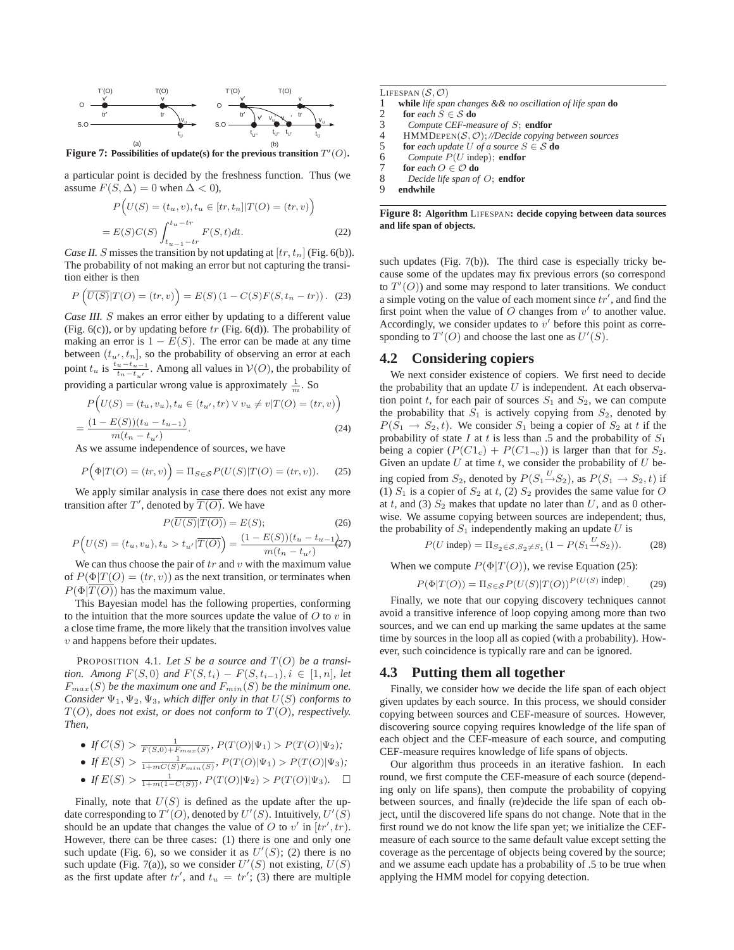

**Figure 7:** Possibilities of update(s) for the previous transition  $T'(O)$ .

a particular point is decided by the freshness function. Thus (we assume  $F(S, \Delta) = 0$  when  $\Delta < 0$ ),

$$
P\Big(U(S) = (t_u, v), t_u \in [tr, t_n]|T(O) = (tr, v)\Big)
$$

$$
= E(S)C(S)\int_{t_{u-1}-tr}^{t_u-tr} F(S, t)dt.
$$
 (22)

*Case II.* S misses the transition by not updating at  $[tr, t_n]$  (Fig. 6(b)). The probability of not making an error but not capturing the transition either is then

$$
P(\overline{U(S)}|T(O) = (tr, v)) = E(S) (1 - C(S)F(S, t_n - tr)).
$$
 (23)

*Case III.* S makes an error either by updating to a different value (Fig.  $6(c)$ ), or by updating before tr (Fig.  $6(d)$ ). The probability of making an error is  $1 - E(S)$ . The error can be made at any time between  $(t_{u'}, t_n]$ , so the probability of observing an error at each point  $t_u$  is  $\frac{t_u-t_{u-1}}{t_n-t_{u'}}$ . Among all values in  $\mathcal{V}(O)$ , the probability of

providing a particular wrong value is approximately  $\frac{1}{m}$ . So

$$
P\Big(U(S) = (t_u, v_u), t_u \in (t_{u'}, tr) \lor v_u \neq v | T(O) = (tr, v) \Big)
$$
  
= 
$$
\frac{(1 - E(S))(t_u - t_{u-1})}{m(t_n - t_{u'})}.
$$
 (24)

As we assume independence of sources, we have

$$
P(\Phi|T(O) = (tr, v)) = \Pi_{S \in \mathcal{S}} P(U(S)|T(O) = (tr, v)).
$$
 (25)

We apply similar analysis in case there does not exist any more transition after T', denoted by  $\overline{T(O)}$ . We have

$$
P(\overline{U(S)}|\overline{T(O)}) = E(S); \tag{26}
$$

$$
P\Big(U(S) = (t_u, v_u), t_u > t_{u'} | \overline{T(O)}\Big) = \frac{(1 - E(S))(t_u - t_{u-1})}{m(t_n - t_{u'})} 27)
$$

We can thus choose the pair of  $tr$  and  $v$  with the maximum value of  $P(\Phi|T(O) = (tr, v))$  as the next transition, or terminates when  $P(\Phi|T(O))$  has the maximum value.

This Bayesian model has the following properties, conforming to the intuition that the more sources update the value of  $O$  to  $v$  in a close time frame, the more likely that the transition involves value  $v$  and happens before their updates.

PROPOSITION 4.1. Let S be a source and  $T(O)$  be a transi*tion.* Among  $F(S, 0)$  and  $F(S, t_i) - F(S, t_{i-1}), i \in [1, n]$ , let  $F_{max}(S)$  *be the maximum one and*  $F_{min}(S)$  *be the minimum one. Consider*  $\Psi_1, \Psi_2, \Psi_3$ *, which differ only in that*  $U(S)$  *conforms to*  $T(O)$ *, does not exist, or does not conform to*  $T(O)$ *, respectively. Then,*

\n- \n
$$
If \, C(S) > \frac{1}{F(S,0) + F_{max}(S)}, \, P(T(O)|\Psi_1) > P(T(O)|\Psi_2);
$$
\n
\n- \n
$$
If \, E(S) > \frac{1}{1 + m(s)F_{min}(S)}, \, P(T(O)|\Psi_1) > P(T(O)|\Psi_3);
$$
\n
\n- \n
$$
If \, E(S) > \frac{1}{1 + m(1 - C(S))}, \, P(T(O)|\Psi_2) > P(T(O)|\Psi_3).
$$
\n
\n

Finally, note that  $U(S)$  is defined as the update after the update corresponding to  $T'(O)$ , denoted by  $U'(S)$ . Intuitively,  $U'(S)$ should be an update that changes the value of O to v' in  $[tr', tr]$ . However, there can be three cases: (1) there is one and only one such update (Fig. 6), so we consider it as  $U'(S)$ ; (2) there is no such update (Fig. 7(a)), so we consider  $U'(S)$  not existing,  $U(S)$ as the first update after  $tr'$ , and  $t_u = tr'$ ; (3) there are multiple

LIFESPAN  $(S, \mathcal{O})$ 

- 1 **while** *life span changes && no oscillation of life span* **do** 2 **for** *each*  $S \in S$  **do**
- 2 **for** *each*  $S \in S$  **do**<br>3 *Compute CEF-me*
- 3 *Compute CEF-measure of* S; **endfor**
- 4 HMMDEPEN( $S$ ,  $\mathcal{O}$ ); *//Decide copying between sources*<br>5 **for** each update U of a source  $S \in S$  **do**
- 5 **for** *each update*  $U$  *of a source*  $S \in \mathcal{S}$  **do**<br>6 *Compute*  $P(U \text{ indep})$ ; **endfor**
- 6 *Compute*  $P(U \text{ indep})$ ; **endfor**<br>7 **for** each  $Q \in \mathcal{O}$  **do**

7 **for**  $\text{each } O \in \mathcal{O}$  **do**<br>8 Decide life span of

8 *Decide life span of* O; **endfor** endwhile

**Figure 8: Algorithm** LIFESPAN**: decide copying between data sources and life span of objects.**

such updates (Fig. 7(b)). The third case is especially tricky because some of the updates may fix previous errors (so correspond to  $T'(O)$ ) and some may respond to later transitions. We conduct a simple voting on the value of each moment since  $tr'$ , and find the first point when the value of  $O$  changes from  $v'$  to another value. Accordingly, we consider updates to  $v'$  before this point as corresponding to  $T'(O)$  and choose the last one as  $U'(S)$ .

### **4.2 Considering copiers**

We next consider existence of copiers. We first need to decide the probability that an update  $U$  is independent. At each observation point t, for each pair of sources  $S_1$  and  $S_2$ , we can compute the probability that  $S_1$  is actively copying from  $S_2$ , denoted by  $P(S_1 \rightarrow S_2, t)$ . We consider  $S_1$  being a copier of  $S_2$  at t if the probability of state I at t is less than .5 and the probability of  $S_1$ being a copier  $(P(C1_c) + P(C1_{\neg c}))$  is larger than that for  $S_2$ . Given an update  $U$  at time  $t$ , we consider the probability of  $U$  being copied from  $S_2$ , denoted by  $P(S_1 \stackrel{U}{\rightarrow} S_2)$ , as  $P(S_1 \rightarrow S_2, t)$  if (1)  $S_1$  is a copier of  $S_2$  at t, (2)  $S_2$  provides the same value for O at t, and (3)  $S_2$  makes that update no later than U, and as 0 otherwise. We assume copying between sources are independent; thus, the probability of  $S_1$  independently making an update U is

$$
P(U \text{ indep}) = \Pi_{S_2 \in S, S_2 \neq S_1} (1 - P(S_1 \xrightarrow{U} S_2)).
$$
 (28)

When we compute  $P(\Phi|T(O))$ , we revise Equation (25):

$$
P(\Phi|T(O)) = \Pi_{S \in \mathcal{S}} P(U(S)|T(O))^{P(U(S) \text{ indep})}.
$$
 (29)

Finally, we note that our copying discovery techniques cannot avoid a transitive inference of loop copying among more than two sources, and we can end up marking the same updates at the same time by sources in the loop all as copied (with a probability). However, such coincidence is typically rare and can be ignored.

#### **4.3 Putting them all together**

Finally, we consider how we decide the life span of each object given updates by each source. In this process, we should consider copying between sources and CEF-measure of sources. However, discovering source copying requires knowledge of the life span of each object and the CEF-measure of each source, and computing CEF-measure requires knowledge of life spans of objects.

Our algorithm thus proceeds in an iterative fashion. In each round, we first compute the CEF-measure of each source (depending only on life spans), then compute the probability of copying between sources, and finally (re)decide the life span of each object, until the discovered life spans do not change. Note that in the first round we do not know the life span yet; we initialize the CEFmeasure of each source to the same default value except setting the coverage as the percentage of objects being covered by the source; and we assume each update has a probability of .5 to be true when applying the HMM model for copying detection.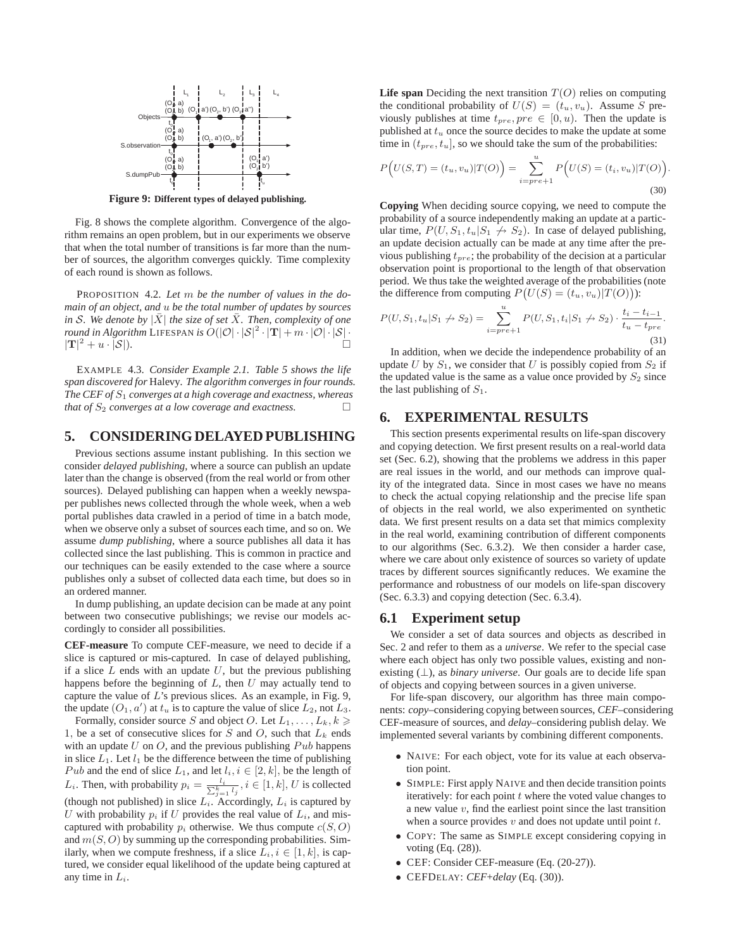

**Figure 9: Different types of delayed publishing.**

Fig. 8 shows the complete algorithm. Convergence of the algorithm remains an open problem, but in our experiments we observe that when the total number of transitions is far more than the number of sources, the algorithm converges quickly. Time complexity of each round is shown as follows.

PROPOSITION 4.2. *Let* m *be the number of values in the domain of an object, and* u *be the total number of updates by sources in* S. We denote by  $|\bar{X}|$  the size of set  $\bar{X}$ . Then, complexity of one *round in Algorithm* LIFESPAN *is*  $O(|\mathcal{O}| \cdot |\mathcal{S}|^2 \cdot |\mathbf{T}| + m \cdot |\mathcal{O}| \cdot |\mathcal{S}|$  $|\mathbf{T}|^2 + u \cdot |\mathcal{S}|$ ).

EXAMPLE 4.3. *Consider Example 2.1. Table 5 shows the life span discovered for* Halevy*. The algorithm converges in four rounds. The CEF of* S<sup>1</sup> *converges at a high coverage and exactness, whereas that of*  $S_2$  *converges at a low coverage and exactness.* 

# **5. CONSIDERING DELAYED PUBLISHING**

Previous sections assume instant publishing. In this section we consider *delayed publishing*, where a source can publish an update later than the change is observed (from the real world or from other sources). Delayed publishing can happen when a weekly newspaper publishes news collected through the whole week, when a web portal publishes data crawled in a period of time in a batch mode, when we observe only a subset of sources each time, and so on. We assume *dump publishing*, where a source publishes all data it has collected since the last publishing. This is common in practice and our techniques can be easily extended to the case where a source publishes only a subset of collected data each time, but does so in an ordered manner.

In dump publishing, an update decision can be made at any point between two consecutive publishings; we revise our models accordingly to consider all possibilities.

**CEF-measure** To compute CEF-measure, we need to decide if a slice is captured or mis-captured. In case of delayed publishing, if a slice  $L$  ends with an update  $U$ , but the previous publishing happens before the beginning of  $L$ , then  $U$  may actually tend to capture the value of  $L$ 's previous slices. As an example, in Fig. 9, the update  $(O_1, a')$  at  $t_u$  is to capture the value of slice  $L_2$ , not  $L_3$ .

Formally, consider source S and object O. Let  $L_1, \ldots, L_k, k \geq$ 1, be a set of consecutive slices for S and O, such that  $L_k$  ends with an update  $U$  on  $O$ , and the previous publishing  $Pub$  happens in slice  $L_1$ . Let  $l_1$  be the difference between the time of publishing Pub and the end of slice  $L_1$ , and let  $l_i, i \in [2, k]$ , be the length of *L<sub>i</sub>*. Then, with probability  $p_i = \frac{l_i}{\sum_{j=1}^k l_j}, i \in [1, k], U$  is collected (though not published) in slice  $L_i$ . Accordingly,  $L_i$  is captured by U with probability  $p_i$  if U provides the real value of  $L_i$ , and miscaptured with probability  $p_i$  otherwise. We thus compute  $c(S, O)$ and  $m(S, O)$  by summing up the corresponding probabilities. Similarly, when we compute freshness, if a slice  $L_i, i \in [1, k]$ , is captured, we consider equal likelihood of the update being captured at any time in  $L_i$ .

**Life span** Deciding the next transition  $T(O)$  relies on computing the conditional probability of  $U(S) = (t_u, v_u)$ . Assume S previously publishes at time  $t_{pre}$ ,  $pre \in [0, u)$ . Then the update is published at  $t<sub>u</sub>$  once the source decides to make the update at some time in  $(t_{pre}, t_u]$ , so we should take the sum of the probabilities:

$$
P(U(S,T) = (t_u, v_u)|T(O)) = \sum_{i=pre+1}^{u} P(U(S) = (t_i, v_u)|T(O)).
$$
\n(30)

**Copying** When deciding source copying, we need to compute the probability of a source independently making an update at a particular time,  $P(U, S_1, t_u | S_1 \nightharpoonup S_2)$ . In case of delayed publishing, an update decision actually can be made at any time after the previous publishing  $t_{pre}$ ; the probability of the decision at a particular observation point is proportional to the length of that observation period. We thus take the weighted average of the probabilities (note the difference from computing  $P(U(S) = (t_u, v_u) | T(O))$ :

$$
P(U, S_1, t_u | S_1 \nrightarrow S_2) = \sum_{i = pre+1}^{u} P(U, S_1, t_i | S_1 \nrightarrow S_2) \cdot \frac{t_i - t_{i-1}}{t_u - t_{pre}}.
$$
\n(31)

In addition, when we decide the independence probability of an update U by  $S_1$ , we consider that U is possibly copied from  $S_2$  if the updated value is the same as a value once provided by  $S_2$  since the last publishing of  $S_1$ .

# **6. EXPERIMENTAL RESULTS**

This section presents experimental results on life-span discovery and copying detection. We first present results on a real-world data set (Sec. 6.2), showing that the problems we address in this paper are real issues in the world, and our methods can improve quality of the integrated data. Since in most cases we have no means to check the actual copying relationship and the precise life span of objects in the real world, we also experimented on synthetic data. We first present results on a data set that mimics complexity in the real world, examining contribution of different components to our algorithms (Sec. 6.3.2). We then consider a harder case, where we care about only existence of sources so variety of update traces by different sources significantly reduces. We examine the performance and robustness of our models on life-span discovery (Sec. 6.3.3) and copying detection (Sec. 6.3.4).

### **6.1 Experiment setup**

We consider a set of data sources and objects as described in Sec. 2 and refer to them as a *universe*. We refer to the special case where each object has only two possible values, existing and nonexisting (⊥), as *binary universe*. Our goals are to decide life span of objects and copying between sources in a given universe.

For life-span discovery, our algorithm has three main components: *copy*–considering copying between sources, *CEF*–considering CEF-measure of sources, and *delay*–considering publish delay. We implemented several variants by combining different components.

- NAIVE: For each object, vote for its value at each observation point.
- SIMPLE: First apply NAIVE and then decide transition points iteratively: for each point  $t$  where the voted value changes to a new value  $v$ , find the earliest point since the last transition when a source provides  $v$  and does not update until point  $t$ .
- COPY: The same as SIMPLE except considering copying in voting (Eq. (28)).
- CEF: Consider CEF-measure (Eq. (20-27)).
- CEFDELAY: *CEF*+*delay* (Eq. (30)).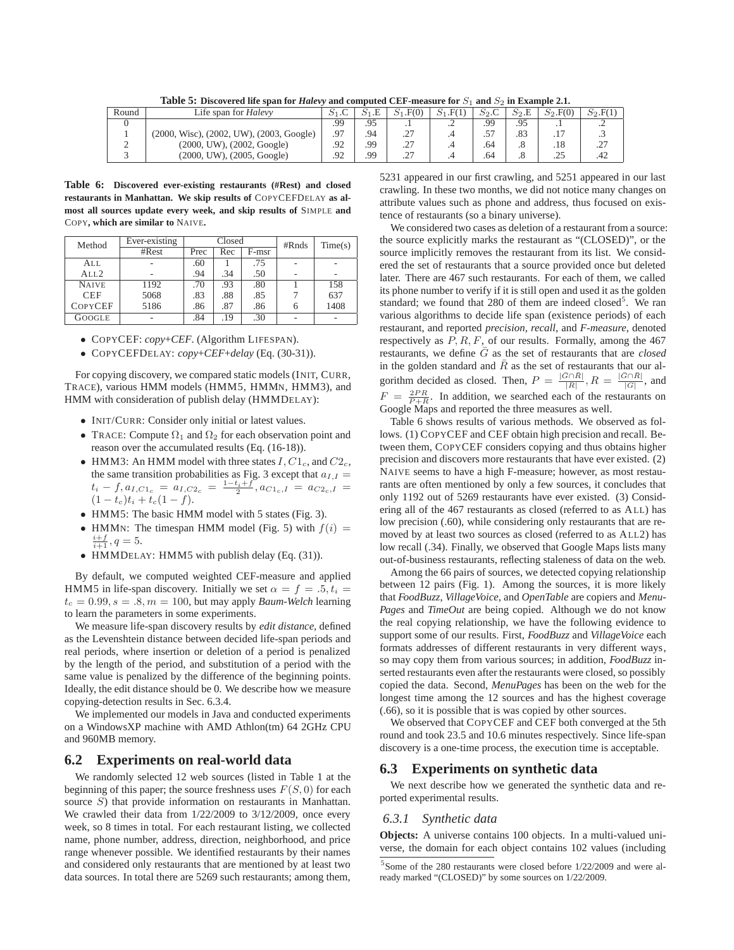**Table 5:** Discovered life span for *Halevy* and computed CEF-measure for  $S_1$  and  $S_2$  in Example 2.1.

| Round | Life span for <i>Halevy</i>              |                | 1.E | $S_1.F(0)$ | $S_1$<br>F(1) | $S_2.C$ | $S_2.E$ | $S_2$ .F(0) | $S_2.F(1)$ |
|-------|------------------------------------------|----------------|-----|------------|---------------|---------|---------|-------------|------------|
|       |                                          | .99            | .95 | . .        | . .           | QΟ      | .95     |             | . .        |
|       | (2000, Wisc), (2002, UW), (2003, Google) |                | .94 | ، پ        |               | ر.,     | .83     |             |            |
| ∽     | (2000, UW), (2002, Google)               | .92            | .99 | ، ست       |               | .64     |         | .18         | ، ست       |
|       | (2000, UW), (2005, Google)               | Q <sub>2</sub> | .99 | ، ست       |               | .64     |         |             | .42        |

**Table 6: Discovered ever-existing restaurants (#Rest) and closed restaurants in Manhattan. We skip results of** COPYCEFDELAY **as almost all sources update every week, and skip results of** SIMPLE **and** COPY**, which are similar to** NAIVE**.**

| Method |                  | Ever-existing | Closed |     |       | #Rnds | Time(s) |  |
|--------|------------------|---------------|--------|-----|-------|-------|---------|--|
|        |                  | $\#Rest$      | Prec   | Rec | F-msr |       |         |  |
|        | All              |               | .60    |     | .75   |       |         |  |
|        | ALL <sub>2</sub> |               | .94    | .34 | .50   |       |         |  |
|        | <b>NAIVE</b>     | 1192          | .70    | .93 | .80   |       | 158     |  |
|        | <b>CEF</b>       | 5068          | .83    | .88 | .85   |       | 637     |  |
|        | COPYCEF          | 5186          | .86    | .87 | .86   |       | 1408    |  |
|        | <b>GOOGLE</b>    |               | .84    | .19 | .30   |       |         |  |

- COPYCEF: *copy*+*CEF*. (Algorithm LIFESPAN).
- COPYCEFDELAY: *copy*+*CEF*+*delay* (Eq. (30-31)).

For copying discovery, we compared static models (INIT, CURR, TRACE), various HMM models (HMM5, HMMN, HMM3), and HMM with consideration of publish delay (HMMDELAY):

- INIT/CURR: Consider only initial or latest values.
- TRACE: Compute  $\Omega_1$  and  $\Omega_2$  for each observation point and reason over the accumulated results (Eq. (16-18)).
- HMM3: An HMM model with three states  $I, C1_c,$  and  $C2_c$ , the same transition probabilities as Fig. 3 except that  $a_{I,I} =$  $t_i - f, a_{I,C1_c} = a_{I,C2_c} = \frac{1-t_i+f}{2}, a_{C1_c,I} = a_{C2_c,I}$  $(1-t_c)t_i+t_c(1-f).$
- HMM5: The basic HMM model with 5 states (Fig. 3).
- HMMN: The timespan HMM model (Fig. 5) with  $f(i) =$  $\frac{i+f}{i+1}, q = 5.$
- HMMDELAY: HMM5 with publish delay (Eq. (31)).

By default, we computed weighted CEF-measure and applied HMM5 in life-span discovery. Initially we set  $\alpha = f = .5, t_i =$  $t_c = 0.99, s = .8, m = 100$ , but may apply *Baum-Welch* learning to learn the parameters in some experiments.

We measure life-span discovery results by *edit distance,* defined as the Levenshtein distance between decided life-span periods and real periods, where insertion or deletion of a period is penalized by the length of the period, and substitution of a period with the same value is penalized by the difference of the beginning points. Ideally, the edit distance should be 0. We describe how we measure copying-detection results in Sec. 6.3.4.

We implemented our models in Java and conducted experiments on a WindowsXP machine with AMD Athlon(tm) 64 2GHz CPU and 960MB memory.

# **6.2 Experiments on real-world data**

We randomly selected 12 web sources (listed in Table 1 at the beginning of this paper; the source freshness uses  $F(S, 0)$  for each source S) that provide information on restaurants in Manhattan. We crawled their data from  $1/22/2009$  to  $3/12/2009$ , once every week, so 8 times in total. For each restaurant listing, we collected name, phone number, address, direction, neighborhood, and price range whenever possible. We identified restaurants by their names and considered only restaurants that are mentioned by at least two data sources. In total there are 5269 such restaurants; among them,

5231 appeared in our first crawling, and 5251 appeared in our last crawling. In these two months, we did not notice many changes on attribute values such as phone and address, thus focused on existence of restaurants (so a binary universe).

We considered two cases as deletion of a restaurant from a source: the source explicitly marks the restaurant as "(CLOSED)", or the source implicitly removes the restaurant from its list. We considered the set of restaurants that a source provided once but deleted later. There are 467 such restaurants. For each of them, we called its phone number to verify if it is still open and used it as the golden standard; we found that 280 of them are indeed closed<sup>5</sup>. We ran various algorithms to decide life span (existence periods) of each restaurant, and reported *precision, recall,* and *F-measure*, denoted respectively as  $P, R, F$ , of our results. Formally, among the 467 restaurants, we define  $\bar{G}$  as the set of restaurants that are *closed* in the golden standard and  $\overline{R}$  as the set of restaurants that our algorithm decided as closed. Then,  $P = \frac{|\bar{G} \cap \bar{R}|}{|\bar{R}|}, R = \frac{|\bar{G} \cap \bar{R}|}{|\bar{G}|}$ , and  $F = \frac{2PR}{P+R}$ . In addition, we searched each of the restaurants on Google Maps and reported the three measures as well.

Table 6 shows results of various methods. We observed as follows. (1) COPYCEF and CEF obtain high precision and recall. Between them, COPYCEF considers copying and thus obtains higher precision and discovers more restaurants that have ever existed. (2) NAIVE seems to have a high F-measure; however, as most restaurants are often mentioned by only a few sources, it concludes that only 1192 out of 5269 restaurants have ever existed. (3) Considering all of the 467 restaurants as closed (referred to as ALL) has low precision (.60), while considering only restaurants that are removed by at least two sources as closed (referred to as ALL2) has low recall (.34). Finally, we observed that Google Maps lists many out-of-business restaurants, reflecting staleness of data on the web.

Among the 66 pairs of sources, we detected copying relationship between 12 pairs (Fig. 1). Among the sources, it is more likely that *FoodBuzz*, *VillageVoice*, and *OpenTable* are copiers and *Menu-Pages* and *TimeOut* are being copied. Although we do not know the real copying relationship, we have the following evidence to support some of our results. First, *FoodBuzz* and *VillageVoice* each formats addresses of different restaurants in very different ways, so may copy them from various sources; in addition, *FoodBuzz* inserted restaurants even after the restaurants were closed, so possibly copied the data. Second, *MenuPages* has been on the web for the longest time among the 12 sources and has the highest coverage (.66), so it is possible that is was copied by other sources.

We observed that COPYCEF and CEF both converged at the 5th round and took 23.5 and 10.6 minutes respectively. Since life-span discovery is a one-time process, the execution time is acceptable.

#### **6.3 Experiments on synthetic data**

We next describe how we generated the synthetic data and reported experimental results.

#### *6.3.1 Synthetic data*

**Objects:** A universe contains 100 objects. In a multi-valued universe, the domain for each object contains 102 values (including

<sup>5</sup> Some of the 280 restaurants were closed before 1/22/2009 and were already marked "(CLOSED)" by some sources on 1/22/2009.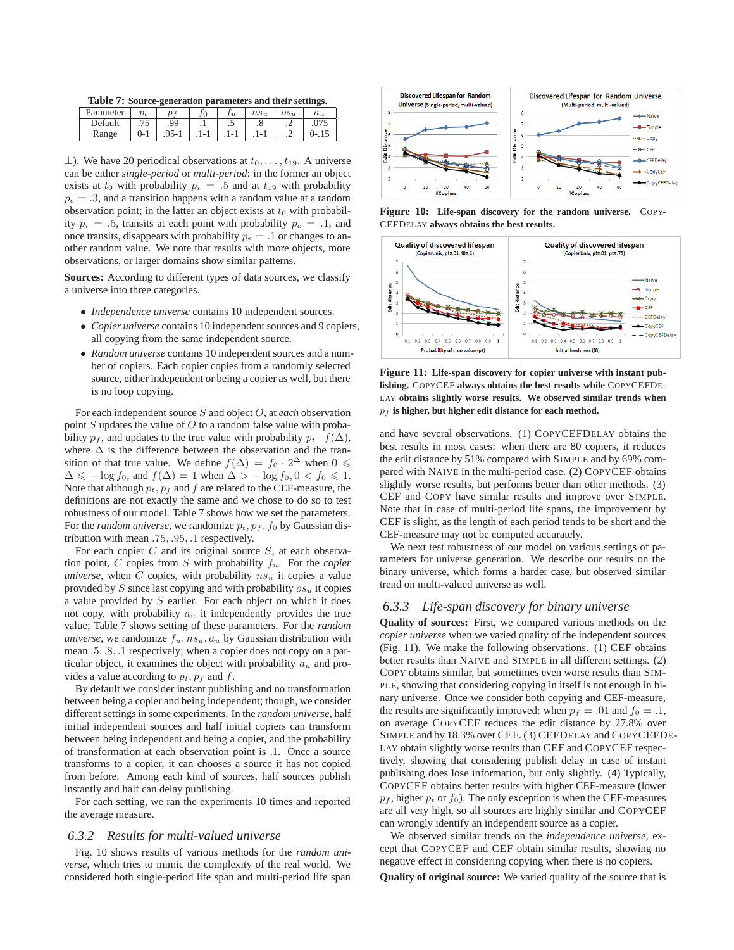|  | Table 7: Source-generation parameters and their settings. |  |  |
|--|-----------------------------------------------------------|--|--|
|--|-----------------------------------------------------------|--|--|

| Parameter |         | $n \cdot$ |        | Jи     | $ns_u$ | $OS_{1L}$ | $a_{ii}$ |
|-----------|---------|-----------|--------|--------|--------|-----------|----------|
| Default   |         | QQ        |        | نۍ     |        |           |          |
| Range     | $0 - 1$ | $.95 - 1$ | $-1-1$ | $-1-1$ | 1-1    |           | $0 - 15$ |

 $\perp$ ). We have 20 periodical observations at  $t_0, \ldots, t_{19}$ . A universe can be either *single-period* or *multi-period*: in the former an object exists at  $t_0$  with probability  $p_i = .5$  and at  $t_{19}$  with probability  $p_e = .3$ , and a transition happens with a random value at a random observation point; in the latter an object exists at  $t_0$  with probability  $p_i = .5$ , transits at each point with probability  $p_c = .1$ , and once transits, disappears with probability  $p_e = .1$  or changes to another random value. We note that results with more objects, more observations, or larger domains show similar patterns.

**Sources:** According to different types of data sources, we classify a universe into three categories.

- *Independence universe* contains 10 independent sources.
- *Copier universe* contains 10 independent sources and 9 copiers, all copying from the same independent source.
- *Random universe* contains 10 independent sources and a number of copiers. Each copier copies from a randomly selected source, either independent or being a copier as well, but there is no loop copying.

For each independent source S and object O, at *each* observation point  $S$  updates the value of  $O$  to a random false value with probability  $p_f$ , and updates to the true value with probability  $p_t \cdot f(\Delta)$ , where  $\Delta$  is the difference between the observation and the transition of that true value. We define  $f(\Delta) = f_0 \cdot 2^{\Delta}$  when  $0 \leq$  $\Delta \leq -\log f_0$ , and  $f(\Delta) = 1$  when  $\Delta > -\log f_0$ ,  $0 < f_0 \leq 1$ . Note that although  $p_t$ ,  $p_f$  and  $f$  are related to the CEF-measure, the definitions are not exactly the same and we chose to do so to test robustness of our model. Table 7 shows how we set the parameters. For the *random universe*, we randomize  $p_t$ ,  $p_f$ ,  $f_0$  by Gaussian distribution with mean .75, .95, .1 respectively.

For each copier  $C$  and its original source  $S$ , at each observation point, C copies from S with probability  $f_u$ . For the *copier universe*, when C copies, with probability  $ns_u$  it copies a value provided by  $S$  since last copying and with probability  $os<sub>u</sub>$  it copies a value provided by  $S$  earlier. For each object on which it does not copy, with probability  $a_u$  it independently provides the true value; Table 7 shows setting of these parameters. For the *random universe*, we randomize  $f_u$ ,  $ns_u$ ,  $a_u$  by Gaussian distribution with mean .5, .8, .1 respectively; when a copier does not copy on a particular object, it examines the object with probability  $a_u$  and provides a value according to  $p_t$ ,  $p_f$  and f.

By default we consider instant publishing and no transformation between being a copier and being independent; though, we consider different settings in some experiments. In the *random universe*, half initial independent sources and half initial copiers can transform between being independent and being a copier, and the probability of transformation at each observation point is .1. Once a source transforms to a copier, it can chooses a source it has not copied from before. Among each kind of sources, half sources publish instantly and half can delay publishing.

For each setting, we ran the experiments 10 times and reported the average measure.

#### *6.3.2 Results for multi-valued universe*

Fig. 10 shows results of various methods for the *random universe*, which tries to mimic the complexity of the real world. We considered both single-period life span and multi-period life span



**Figure 10: Life-span discovery for the random universe.** COPY-CEFDELAY **always obtains the best results.**



**Figure 11: Life-span discovery for copier universe with instant publishing.** COPYCEF **always obtains the best results while** COPYCEFDE-LAY **obtains slightly worse results. We observed similar trends when**  $p_f$  is higher, but higher edit distance for each method.

and have several observations. (1) COPYCEFDELAY obtains the best results in most cases: when there are 80 copiers, it reduces the edit distance by 51% compared with SIMPLE and by 69% compared with NAIVE in the multi-period case. (2) COPYCEF obtains slightly worse results, but performs better than other methods. (3) CEF and COPY have similar results and improve over SIMPLE. Note that in case of multi-period life spans, the improvement by CEF is slight, as the length of each period tends to be short and the CEF-measure may not be computed accurately.

We next test robustness of our model on various settings of parameters for universe generation. We describe our results on the binary universe, which forms a harder case, but observed similar trend on multi-valued universe as well.

#### *6.3.3 Life-span discovery for binary universe*

**Quality of sources:** First, we compared various methods on the *copier universe* when we varied quality of the independent sources (Fig. 11). We make the following observations. (1) CEF obtains better results than NAIVE and SIMPLE in all different settings. (2) COPY obtains similar, but sometimes even worse results than SIM-PLE, showing that considering copying in itself is not enough in binary universe. Once we consider both copying and CEF-measure, the results are significantly improved: when  $p_f = .01$  and  $f_0 = .1$ , on average COPYCEF reduces the edit distance by 27.8% over SIMPLE and by 18.3% over CEF. (3) CEFDELAY and COPYCEFDE-LAY obtain slightly worse results than CEF and COPYCEF respectively, showing that considering publish delay in case of instant publishing does lose information, but only slightly. (4) Typically, COPYCEF obtains better results with higher CEF-measure (lower  $p_f$ , higher  $p_t$  or  $f_0$ ). The only exception is when the CEF-measures are all very high, so all sources are highly similar and COPYCEF can wrongly identify an independent source as a copier.

We observed similar trends on the *independence universe*, except that COPYCEF and CEF obtain similar results, showing no negative effect in considering copying when there is no copiers.

**Quality of original source:** We varied quality of the source that is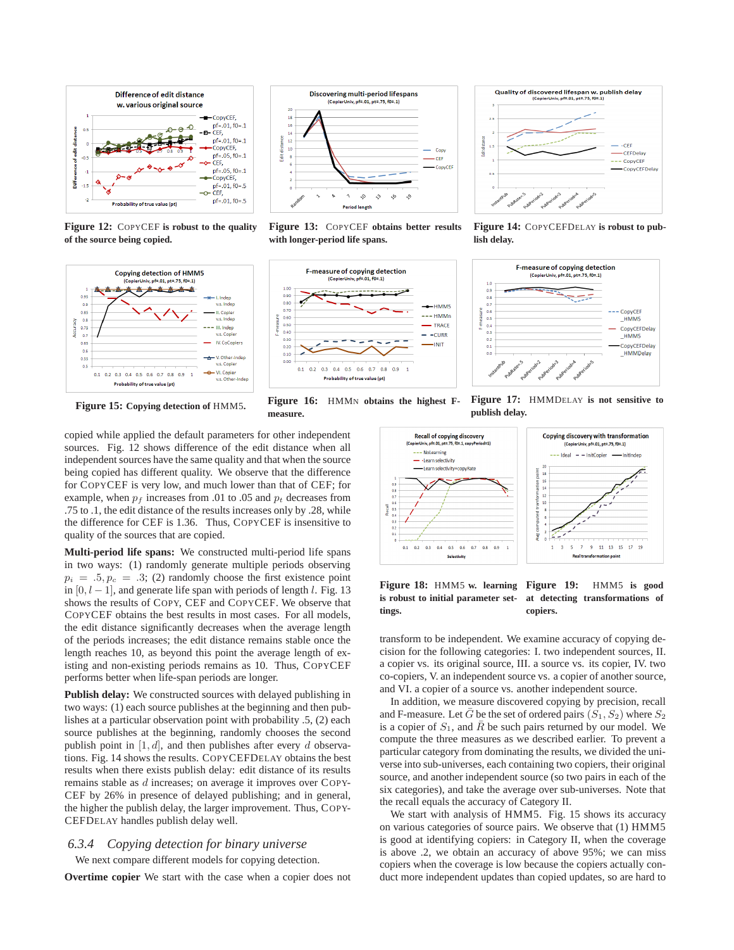

**Figure 12:** COPYCEF **is robust to the quality of the source being copied.**



**Figure 15: Copying detection of** HMM5**.**



**Figure 13:** COPYCEF **obtains better results with longer-period life spans.**





**Figure 14:** COPYCEFDELAY **is robust to publish delay.**



**Figure 16:** HMMN **obtains the highest Fmeasure.**

**Figure 17:** HMMDELAY **is not sensitive to publish delay.**

copied while applied the default parameters for other independent sources. Fig. 12 shows difference of the edit distance when all independent sources have the same quality and that when the source being copied has different quality. We observe that the difference for COPYCEF is very low, and much lower than that of CEF; for example, when  $p_f$  increases from .01 to .05 and  $p_t$  decreases from .75 to .1, the edit distance of the results increases only by .28, while the difference for CEF is 1.36. Thus, COPYCEF is insensitive to quality of the sources that are copied.

**Multi-period life spans:** We constructed multi-period life spans in two ways: (1) randomly generate multiple periods observing  $p_i = .5, p_c = .3; (2)$  randomly choose the first existence point in [0,  $l - 1$ ], and generate life span with periods of length l. Fig. 13 shows the results of COPY, CEF and COPYCEF. We observe that COPYCEF obtains the best results in most cases. For all models, the edit distance significantly decreases when the average length of the periods increases; the edit distance remains stable once the length reaches 10, as beyond this point the average length of existing and non-existing periods remains as 10. Thus, COPYCEF performs better when life-span periods are longer.

**Publish delay:** We constructed sources with delayed publishing in two ways: (1) each source publishes at the beginning and then publishes at a particular observation point with probability .5, (2) each source publishes at the beginning, randomly chooses the second publish point in  $[1, d]$ , and then publishes after every d observations. Fig. 14 shows the results. COPYCEFDELAY obtains the best results when there exists publish delay: edit distance of its results remains stable as d increases; on average it improves over COPY-CEF by 26% in presence of delayed publishing; and in general, the higher the publish delay, the larger improvement. Thus, COPY-CEFDELAY handles publish delay well.

### *6.3.4 Copying detection for binary universe*

We next compare different models for copying detection.

**Overtime copier** We start with the case when a copier does not

Copying discovery with transformation **Recall of copying discovery** (CopierUniv, pf=.01, pt=.75, f0=.1) --- NoLearning --Ideal -- InitCopier -- InitInder - - Learn selectivity Learn selectivity+c 18  $rac{1}{2}$  os Å  $0.1$  $0.3$  $0.5 - 0.6$  $0.7$  $0.8$  $0.9$  $\overline{1}$ 7 9 11 13 15 17 19 **Real transformation point** 

**tings.**

**Figure 18:** HMM5 **w. learning Figure 19:** HMM5 **is good is robust to initial parameter set-at detecting transformations of copiers.**

transform to be independent. We examine accuracy of copying decision for the following categories: I. two independent sources, II. a copier vs. its original source, III. a source vs. its copier, IV. two co-copiers, V. an independent source vs. a copier of another source, and VI. a copier of a source vs. another independent source.

In addition, we measure discovered copying by precision, recall and F-measure. Let  $\bar{G}$  be the set of ordered pairs  $(S_1, S_2)$  where  $S_2$ is a copier of  $S_1$ , and R be such pairs returned by our model. We compute the three measures as we described earlier. To prevent a particular category from dominating the results, we divided the universe into sub-universes, each containing two copiers, their original source, and another independent source (so two pairs in each of the six categories), and take the average over sub-universes. Note that the recall equals the accuracy of Category II.

We start with analysis of HMM5. Fig. 15 shows its accuracy on various categories of source pairs. We observe that (1) HMM5 is good at identifying copiers: in Category II, when the coverage is above .2, we obtain an accuracy of above 95%; we can miss copiers when the coverage is low because the copiers actually conduct more independent updates than copied updates, so are hard to